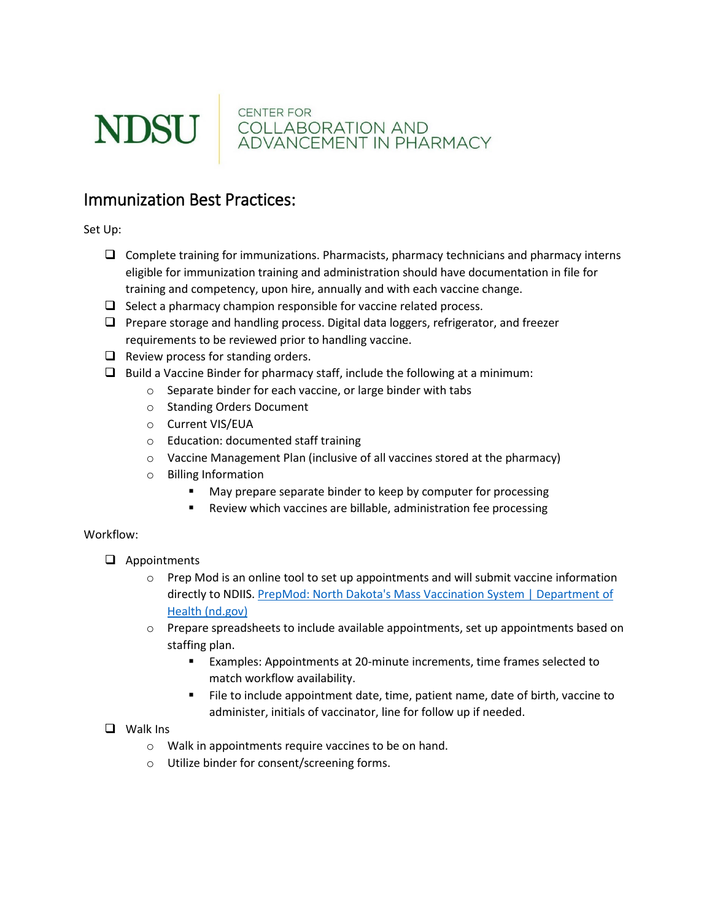

**CENTER FOR COLLABORATION AND<br>ADVANCEMENT IN PHARMACY** 

## Immunization Best Practices:

Set Up:

- $\Box$  Complete training for immunizations. Pharmacists, pharmacy technicians and pharmacy interns eligible for immunization training and administration should have documentation in file for training and competency, upon hire, annually and with each vaccine change.
- $\Box$  Select a pharmacy champion responsible for vaccine related process.
- $\Box$  Prepare storage and handling process. Digital data loggers, refrigerator, and freezer requirements to be reviewed prior to handling vaccine.
- $\Box$  Review process for standing orders.
- $\Box$  Build a Vaccine Binder for pharmacy staff, include the following at a minimum:
	- o Separate binder for each vaccine, or large binder with tabs
	- o Standing Orders Document
	- o Current VIS/EUA
	- o Education: documented staff training
	- o Vaccine Management Plan (inclusive of all vaccines stored at the pharmacy)
	- o Billing Information
		- May prepare separate binder to keep by computer for processing
		- **Review which vaccines are billable, administration fee processing**

## Workflow:

- **Q** Appointments
	- $\circ$  Prep Mod is an online tool to set up appointments and will submit vaccine information directly to NDIIS[. PrepMod: North Dakota's Mass Vaccination System | Department of](https://www.health.nd.gov/prepmod)  [Health \(nd.gov\)](https://www.health.nd.gov/prepmod)
	- $\circ$  Prepare spreadsheets to include available appointments, set up appointments based on staffing plan.
		- Examples: Appointments at 20-minute increments, time frames selected to match workflow availability.
		- File to include appointment date, time, patient name, date of birth, vaccine to administer, initials of vaccinator, line for follow up if needed.
- **Q** Walk Ins
	- o Walk in appointments require vaccines to be on hand.
	- o Utilize binder for consent/screening forms.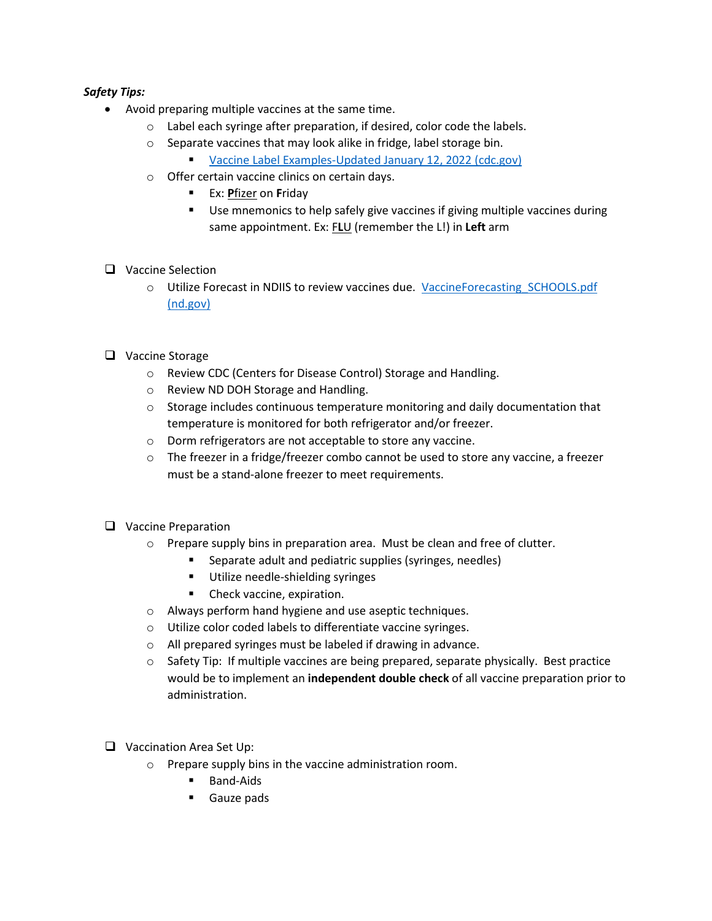## *Safety Tips:*

- Avoid preparing multiple vaccines at the same time.
	- o Label each syringe after preparation, if desired, color code the labels.
	- o Separate vaccines that may look alike in fridge, label storage bin.
		- [Vaccine Label Examples-Updated January 12, 2022 \(cdc.gov\)](https://www.cdc.gov/vaccines/hcp/admin/storage/guide/vaccine-storage-labels.pdf)
	- o Offer certain vaccine clinics on certain days.
		- Ex: **P**fizer on **F**riday
		- **Use mnemonics to help safely give vaccines if giving multiple vaccines during** same appointment. Ex: F**L**U (remember the L!) in **Left** arm
- □ Vaccine Selection
	- o Utilize Forecast in NDIIS to review vaccines due. [VaccineForecasting\\_SCHOOLS.pdf](https://www.health.nd.gov/sites/www/files/documents/Files/MSS/Immunizations/NDIIS/TrainingDocs/VaccineForecasting_SCHOOLS.pdf)  [\(nd.gov\)](https://www.health.nd.gov/sites/www/files/documents/Files/MSS/Immunizations/NDIIS/TrainingDocs/VaccineForecasting_SCHOOLS.pdf)
- □ Vaccine Storage
	- o Review CDC (Centers for Disease Control) Storage and Handling.
	- o Review ND DOH Storage and Handling.
	- $\circ$  Storage includes continuous temperature monitoring and daily documentation that temperature is monitored for both refrigerator and/or freezer.
	- o Dorm refrigerators are not acceptable to store any vaccine.
	- $\circ$  The freezer in a fridge/freezer combo cannot be used to store any vaccine, a freezer must be a stand-alone freezer to meet requirements.
- **Q** Vaccine Preparation
	- o Prepare supply bins in preparation area. Must be clean and free of clutter.
		- Separate adult and pediatric supplies (syringes, needles)
		- **Utilize needle-shielding syringes**
		- **Check vaccine, expiration.**
	- o Always perform hand hygiene and use aseptic techniques.
	- o Utilize color coded labels to differentiate vaccine syringes.
	- o All prepared syringes must be labeled if drawing in advance.
	- o Safety Tip: If multiple vaccines are being prepared, separate physically. Best practice would be to implement an **independent double check** of all vaccine preparation prior to administration.
- □ Vaccination Area Set Up:
	- o Prepare supply bins in the vaccine administration room.
		- **Band-Aids**
		- Gauze pads